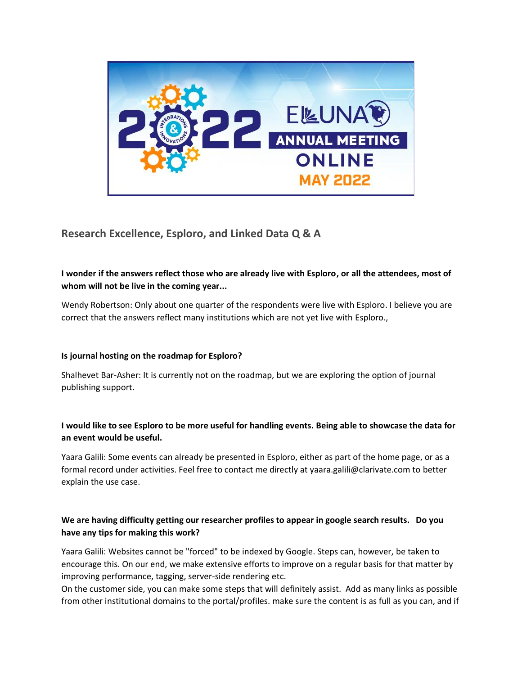

# **Research Excellence, Esploro, and Linked Data Q & A**

## **I wonder if the answers reflect those who are already live with Esploro, or all the attendees, most of whom will not be live in the coming year...**

Wendy Robertson: Only about one quarter of the respondents were live with Esploro. I believe you are correct that the answers reflect many institutions which are not yet live with Esploro.,

#### **Is journal hosting on the roadmap for Esploro?**

Shalhevet Bar-Asher: It is currently not on the roadmap, but we are exploring the option of journal publishing support.

### **I would like to see Esploro to be more useful for handling events. Being able to showcase the data for an event would be useful.**

Yaara Galili: Some events can already be presented in Esploro, either as part of the home page, or as a formal record under activities. Feel free to contact me directly at yaara.galili@clarivate.com to better explain the use case.

### **We are having difficulty getting our researcher profiles to appear in google search results. Do you have any tips for making this work?**

Yaara Galili: Websites cannot be "forced" to be indexed by Google. Steps can, however, be taken to encourage this. On our end, we make extensive efforts to improve on a regular basis for that matter by improving performance, tagging, server-side rendering etc.

On the customer side, you can make some steps that will definitely assist. Add as many links as possible from other institutional domains to the portal/profiles. make sure the content is as full as you can, and if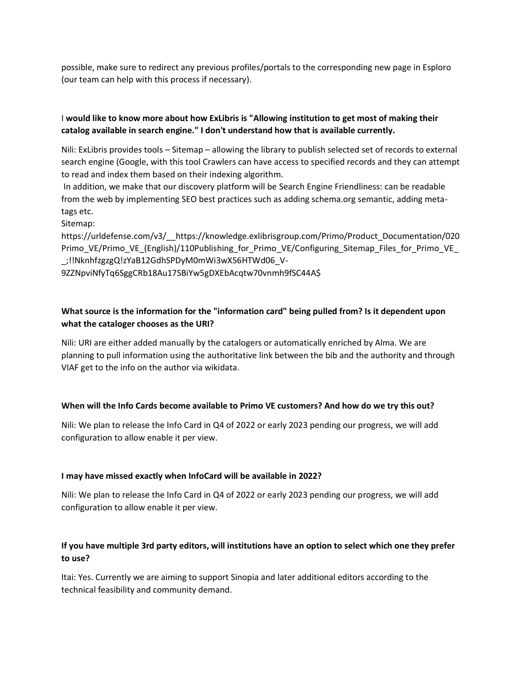possible, make sure to redirect any previous profiles/portals to the corresponding new page in Esploro (our team can help with this process if necessary).

# I **would like to know more about how ExLibris is "Allowing institution to get most of making their catalog available in search engine." I don't understand how that is available currently.**

Nili: ExLibris provides tools – Sitemap – allowing the library to publish selected set of records to external search engine (Google, with this tool Crawlers can have access to specified records and they can attempt to read and index them based on their indexing algorithm.

In addition, we make that our discovery platform will be Search Engine Friendliness: can be readable from the web by implementing SEO best practices such as adding schema.org semantic, adding metatags etc.

#### Sitemap:

https://urldefense.com/v3/\_\_https://knowledge.exlibrisgroup.com/Primo/Product\_Documentation/020 Primo\_VE/Primo\_VE\_(English)/110Publishing\_for\_Primo\_VE/Configuring\_Sitemap\_Files\_for\_Primo\_VE\_ \_;!!NknhfzgzgQ!zYaB12GdhSPDyM0mWi3wX56HTWd06\_V-

9ZZNpviNfyTq6SggCRb18Au17SBiYw5gDXEbAcqtw70vnmh9fSC44A\$

# **What source is the information for the "information card" being pulled from? Is it dependent upon what the cataloger chooses as the URI?**

Nili: URI are either added manually by the catalogers or automatically enriched by Alma. We are planning to pull information using the authoritative link between the bib and the authority and through VIAF get to the info on the author via wikidata.

### **When will the Info Cards become available to Primo VE customers? And how do we try this out?**

Nili: We plan to release the Info Card in Q4 of 2022 or early 2023 pending our progress, we will add configuration to allow enable it per view.

#### **I may have missed exactly when InfoCard will be available in 2022?**

Nili: We plan to release the Info Card in Q4 of 2022 or early 2023 pending our progress, we will add configuration to allow enable it per view.

# **If you have multiple 3rd party editors, will institutions have an option to select which one they prefer to use?**

Itai: Yes. Currently we are aiming to support Sinopia and later additional editors according to the technical feasibility and community demand.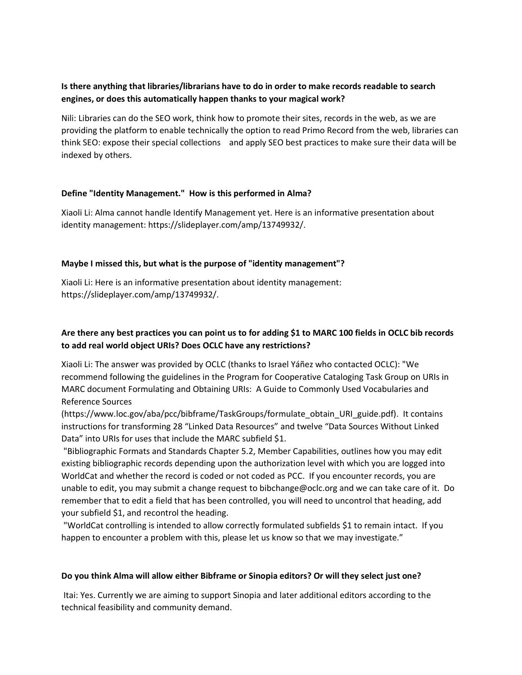### **Is there anything that libraries/librarians have to do in order to make records readable to search engines, or does this automatically happen thanks to your magical work?**

Nili: Libraries can do the SEO work, think how to promote their sites, records in the web, as we are providing the platform to enable technically the option to read Primo Record from the web, libraries can think SEO: expose their special collections and apply SEO best practices to make sure their data will be indexed by others.

#### **Define "Identity Management." How is this performed in Alma?**

Xiaoli Li: Alma cannot handle Identify Management yet. Here is an informative presentation about identity management: https://slideplayer.com/amp/13749932/.

### **Maybe I missed this, but what is the purpose of "identity management"?**

Xiaoli Li: Here is an informative presentation about identity management: https://slideplayer.com/amp/13749932/.

# **Are there any best practices you can point us to for adding \$1 to MARC 100 fields in OCLC bib records to add real world object URIs? Does OCLC have any restrictions?**

Xiaoli Li: The answer was provided by OCLC (thanks to Israel Yáñez who contacted OCLC): "We recommend following the guidelines in the Program for Cooperative Cataloging Task Group on URIs in MARC document Formulating and Obtaining URIs: A Guide to Commonly Used Vocabularies and Reference Sources

(https://www.loc.gov/aba/pcc/bibframe/TaskGroups/formulate\_obtain\_URI\_guide.pdf). It contains instructions for transforming 28 "Linked Data Resources" and twelve "Data Sources Without Linked Data" into URIs for uses that include the MARC subfield \$1.

"Bibliographic Formats and Standards Chapter 5.2, Member Capabilities, outlines how you may edit existing bibliographic records depending upon the authorization level with which you are logged into WorldCat and whether the record is coded or not coded as PCC. If you encounter records, you are unable to edit, you may submit a change request to bibchange@oclc.org and we can take care of it. Do remember that to edit a field that has been controlled, you will need to uncontrol that heading, add your subfield \$1, and recontrol the heading.

"WorldCat controlling is intended to allow correctly formulated subfields \$1 to remain intact. If you happen to encounter a problem with this, please let us know so that we may investigate."

#### **Do you think Alma will allow either Bibframe or Sinopia editors? Or will they select just one?**

Itai: Yes. Currently we are aiming to support Sinopia and later additional editors according to the technical feasibility and community demand.